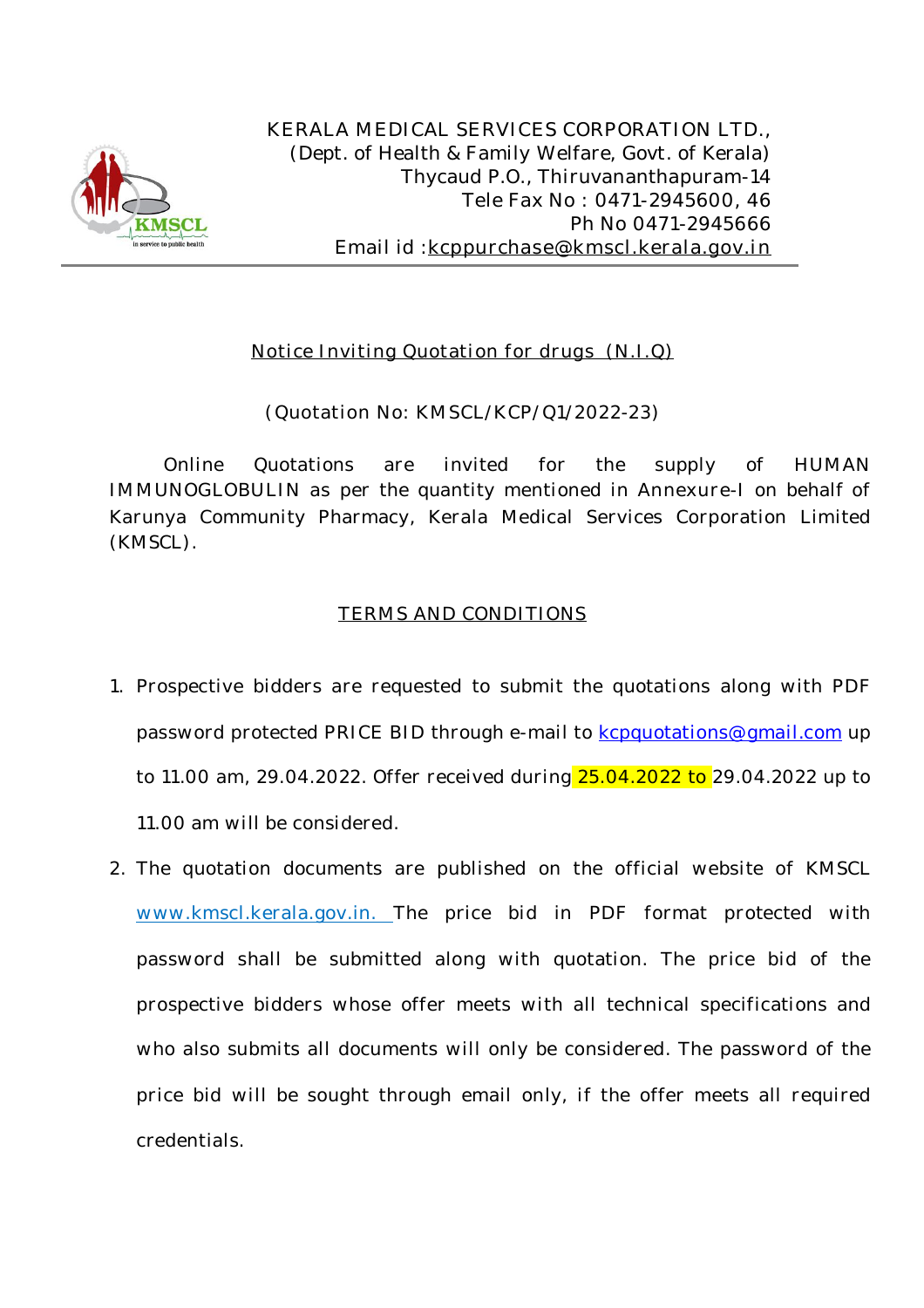

**KERALA MEDICAL SERVICES CORPORATION LTD.,** *(Dept. of Health & Family Welfare, Govt. of Kerala)* Thycaud P.O., Thiruvananthapuram-14 Tele Fax No : 0471-2945600, 46 Ph No 0471-2945666 Email id :**kcppurchase@kmscl.kerala.gov.in**

# **Notice Inviting Quotation for drugs (N.I.Q)**

## **(Quotation No: KMSCL/KCP/Q1/2022-23)**

Online Quotations are invited for the supply of **HUMAN IMMUNOGLOBULIN as** per the quantity mentioned in **Annexure-I** on behalf of Karunya Community Pharmacy, Kerala Medical Services Corporation Limited (KMSCL).

## **TERMS AND CONDITIONS**

- 1. Prospective bidders are requested to submit the quotations along with **PDF** password protected **PRICE BID** through e-mail to kcpquotations@gmail.com up to 11.00 am, 29.04.2022. Offer received during 25.04.2022 to 29.04.2022 up to 11.00 am will be considered.
- 2. The quotation documents are published on the official website of KMSCL www.kmscl.kerala.gov.in. The price bid in **PDF** format protected with password shall be submitted along with quotation. The price bid of the prospective bidders whose offer meets with all technical specifications and who also submits all documents will only be considered. The password of the price bid will be sought through email only, if the offer meets all required credentials.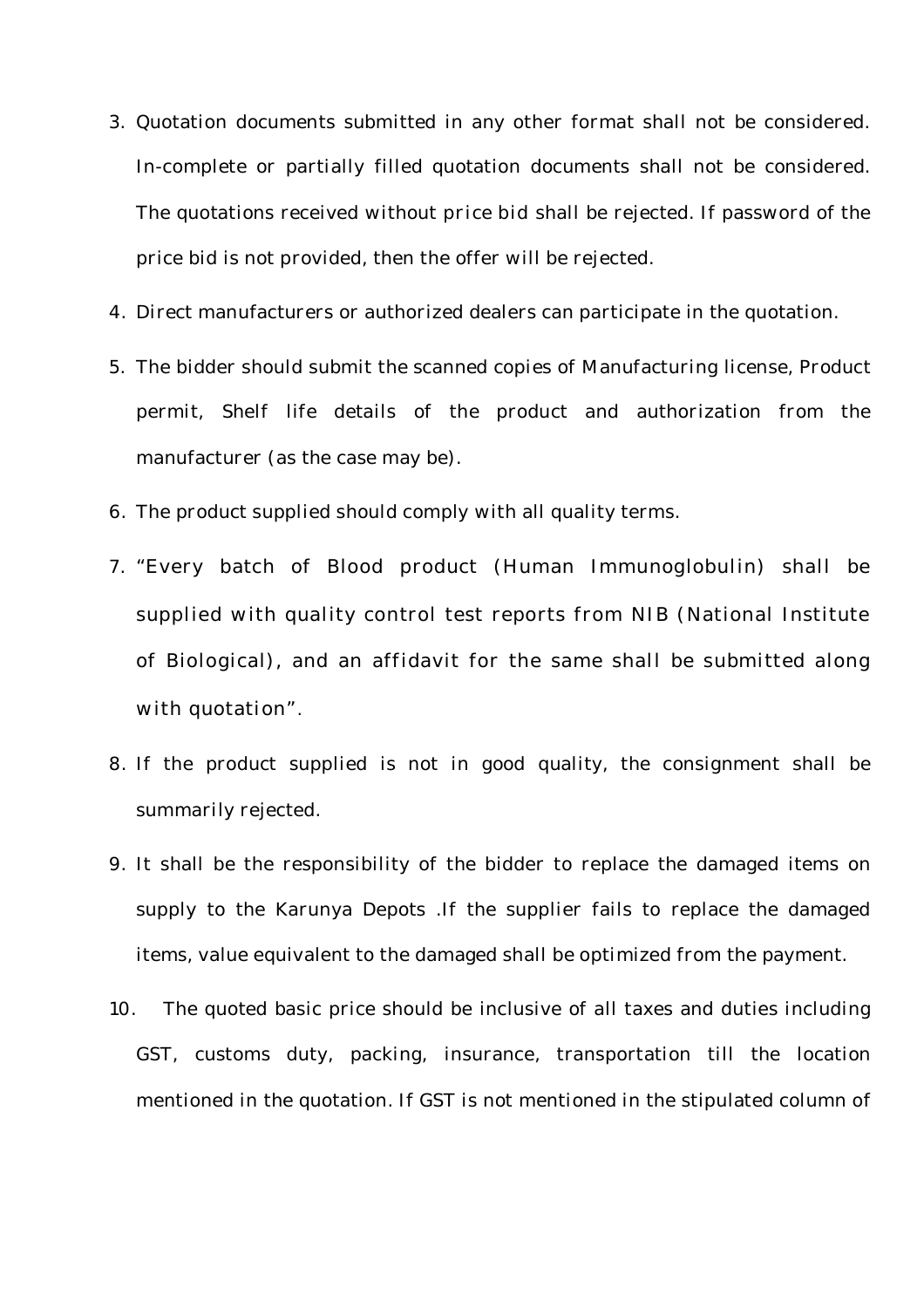- 3. Quotation documents submitted in any other format shall not be considered. In-complete or partially filled quotation documents shall not be considered. The quotations received without **price bid** shall be rejected. If password of the price bid is not provided, then the offer will be rejected.
- 4. Direct manufacturers or authorized dealers can participate in the quotation.
- 5. The bidder should submit the scanned copies of Manufacturing license, Product permit, Shelf life details of the product and authorization from the manufacturer (as the case may be).
- 6. The product supplied should comply with all quality terms.
- 7. "Every batch of Blood product (Human Immunoglobulin) shall be supplied with quality control test reports from NIB (National Institute of Biological), and an affidavit for the same shall be submitted along with quotation".
- 8. If the product supplied is not in good quality, the consignment shall be summarily rejected.
- 9. It shall be the responsibility of the bidder to replace the damaged items on supply to the Karunya Depots .If the supplier fails to replace the damaged items, value equivalent to the damaged shall be optimized from the payment.
- 10. The quoted basic price should be inclusive of all taxes and duties including GST, customs duty, packing, insurance, transportation till the location mentioned in the quotation. If GST is not mentioned in the stipulated column of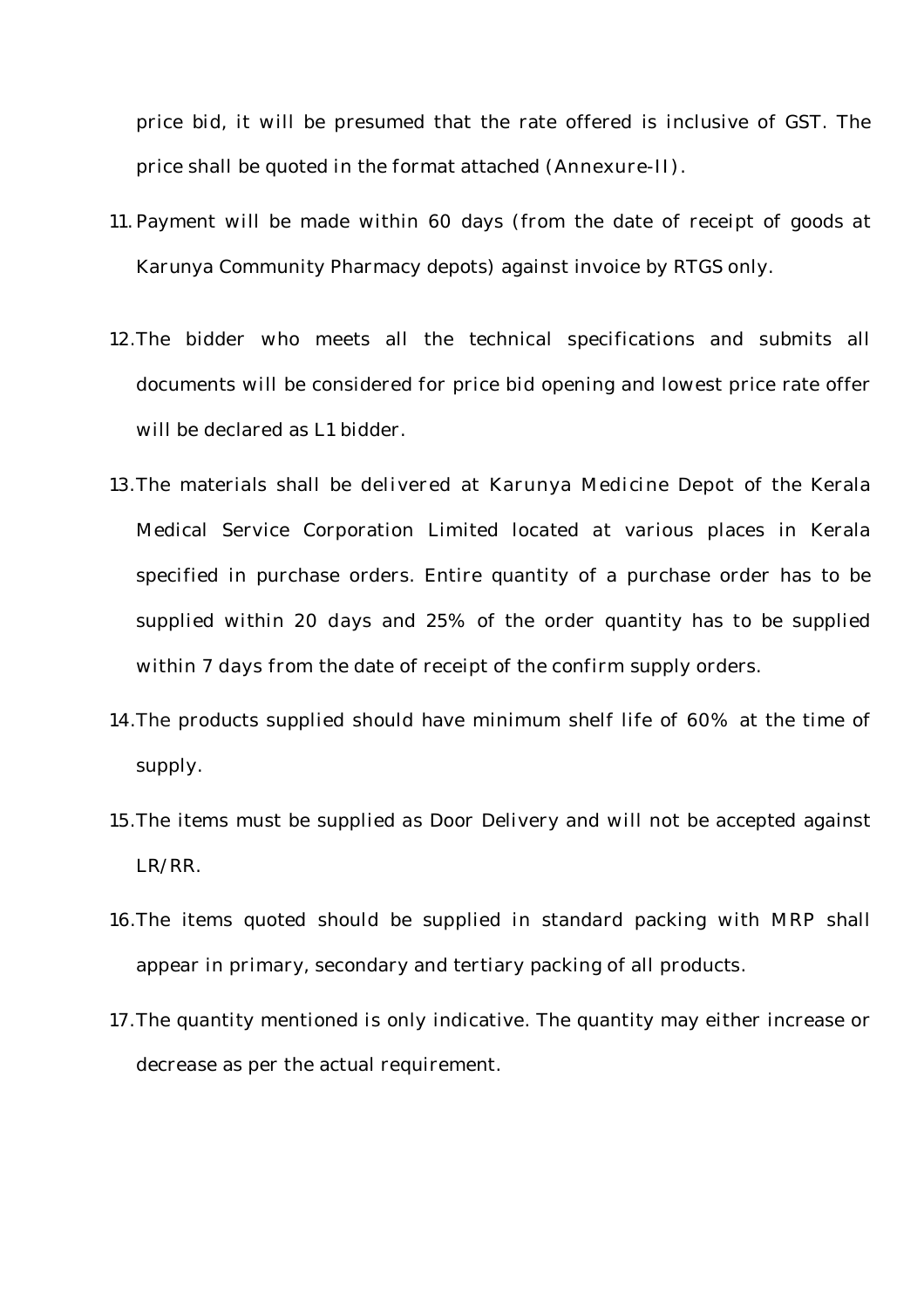price bid, it will be presumed that the rate offered is inclusive of GST. The price shall be quoted in the format attached **(Annexure-II).**

- 11.Payment will be made within 60 days (from the date of receipt of goods at Karunya Community Pharmacy depots) against invoice by RTGS only.
- 12.The bidder who meets all the technical specifications and submits all documents will be considered for price bid opening and lowest price rate offer will be declared as L1 bidder.
- 13.The materials shall be **delivered at Karunya Medicine Depot** of the Kerala Medical Service Corporation Limited located at various places in Kerala specified in purchase orders. Entire quantity of a purchase order has to be supplied within **20 days** and 25% of the order quantity has to be supplied within **7 days** from the date of receipt of the confirm supply orders.
- 14.The products supplied should have minimum shelf life of **60%** at the time of supply.
- 15.The items must be supplied as Door Delivery and will not be accepted against LR/RR.
- 16.The items quoted should be supplied in standard packing with **MRP** shall appear in primary, secondary and tertiary packing of all products.
- 17.The quantity mentioned is only indicative. The quantity may either increase or decrease as per the actual requirement.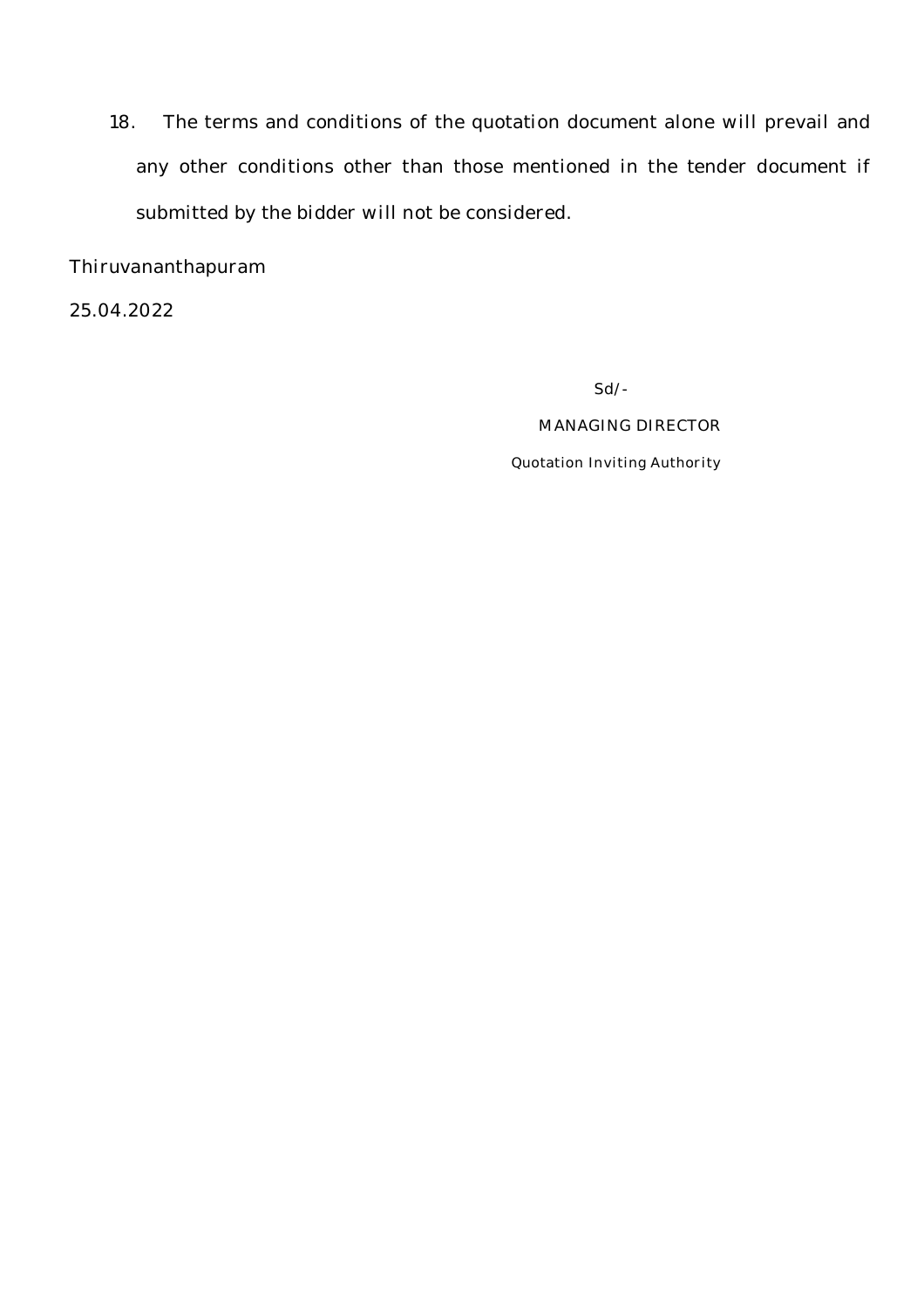18. The terms and conditions of the quotation document alone will prevail and any other conditions other than those mentioned in the tender document if submitted by the bidder will not be considered.

Thiruvananthapuram

25.04.2022

**Sd/-**

#### **MANAGING DIRECTOR**

**Quotation Inviting Authority**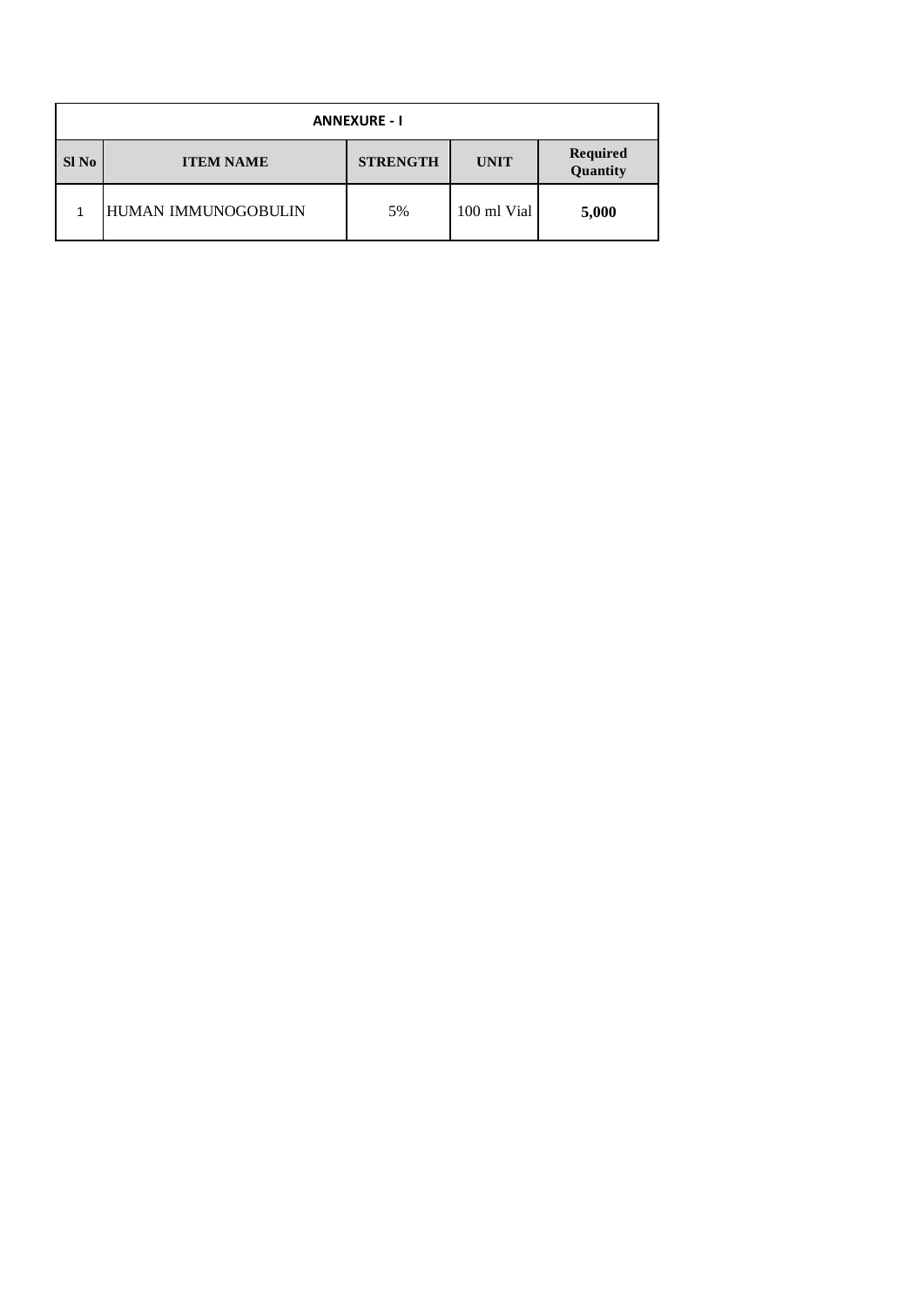| <b>ANNEXURE - I</b> |                     |                 |             |                      |  |  |  |  |  |
|---------------------|---------------------|-----------------|-------------|----------------------|--|--|--|--|--|
| Sl No               | <b>ITEM NAME</b>    | <b>STRENGTH</b> | <b>UNIT</b> | Required<br>Quantity |  |  |  |  |  |
|                     | HUMAN IMMUNOGOBULIN | 5%              | 100 ml Vial | 5,000                |  |  |  |  |  |